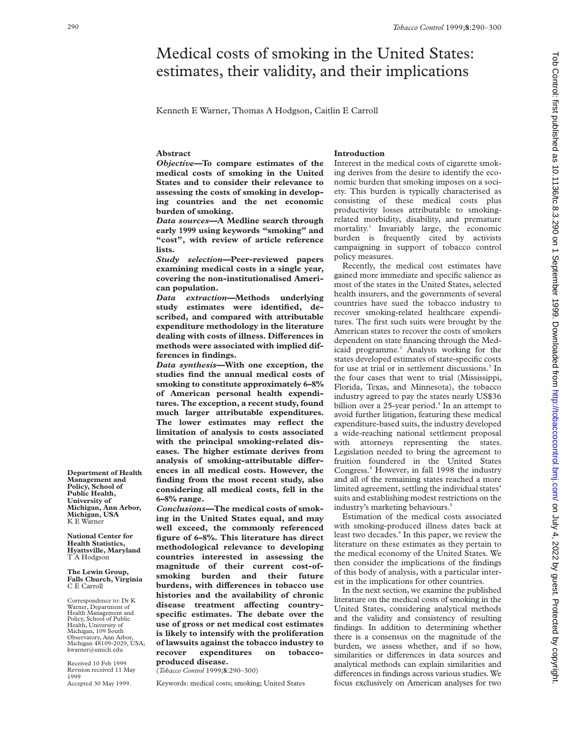# Medical costs of smoking in the United States: estimates, their validity, and their implications

Kenneth E Warner, Thomas A Hodgson, Caitlin E Carroll

### **Abstract**

*Objective—***To compare estimates of the medical costs of smoking in the United States and to consider their relevance to assessing the costs of smoking in developing countries and the net economic burden of smoking.**

*Data sources—***A Medline search through early 1999 using keywords "smoking" and "cost", with review of article reference lists.**

*Study selection—***Peer-reviewed papers examining medical costs in a single year, covering the non-institutionalised American population.**

*Data extraction—***Methods underlying study estimates were identified, described, and compared with attributable expenditure methodology in the literature** dealing with costs of illness. Differences in **methods were associated with implied differences in findings.**

*Data synthesis—***With one exception, the studies find the annual medical costs of smoking to constitute approximately 6–8% of American personal health expenditures. The exception, a recent study, found much larger attributable expenditures. The lower estimates may reflect the limitation of analysis to costs associated with the principal smoking-related diseases. The higher estimate derives from** analysis of smoking-attributable differ**ences in all medical costs. However, the finding from the most recent study, also considering all medical costs, fell in the 6–8% range.**

*Conclusions—***The medical costs of smoking in the United States equal, and may well exceed, the commonly referenced figure of 6–8%. This literature has direct methodological relevance to developing countries interested in assessing the magnitude of their current cost-ofsmoking burden and their future burdens, with differences in tobacco use histories and the availability of chronic** disease treatment affecting country**specific estimates. The debate over the use of gross or net medical cost estimates is likely to intensify with the proliferation of lawsuits against the tobacco industry to recover expenditures on tobaccoproduced disease.**

(*Tobacco Control* 1999;**8**:290–300)

Keywords: medical costs; smoking; United States

#### **Introduction**

Interest in the medical costs of cigarette smoking derives from the desire to identify the economic burden that smoking imposes on a society. This burden is typically characterised as consisting of these medical costs plus productivity losses attributable to smokingrelated morbidity, disability, and premature mortality.<sup>1</sup> Invariably large, the economic burden is frequently cited by activists campaigning in support of tobacco control policy measures.

Recently, the medical cost estimates have gained more immediate and specific salience as most of the states in the United States, selected health insurers, and the governments of several countries have sued the tobacco industry to recover smoking-related healthcare expenditures. The first such suits were brought by the American states to recover the costs of smokers dependent on state financing through the Medicaid programme.<sup>2</sup> Analysts working for the states developed estimates of state-specific costs for use at trial or in settlement discussions.<sup>3</sup> In the four cases that went to trial (Mississippi, Florida, Texas, and Minnesota), the tobacco industry agreed to pay the states nearly US\$36 billion over a  $25$ -year period.<sup>4</sup> In an attempt to avoid further litigation, featuring these medical expenditure-based suits, the industry developed a wide-reaching national settlement proposal with attorneys representing the states. Legislation needed to bring the agreement to fruition foundered in the United States Congress.4 However, in fall 1998 the industry and all of the remaining states reached a more limited agreement, settling the individual states' suits and establishing modest restrictions on the industry's marketing behaviours.<sup>5</sup>

Estimation of the medical costs associated with smoking-produced illness dates back at least two decades.<sup>6</sup> In this paper, we review the literature on these estimates as they pertain to the medical economy of the United States. We then consider the implications of the findings of this body of analysis, with a particular interest in the implications for other countries.

In the next section, we examine the published literature on the medical costs of smoking in the United States, considering analytical methods and the validity and consistency of resulting findings. In addition to determining whether there is a consensus on the magnitude of the burden, we assess whether, and if so how, similarities or differences in data sources and analytical methods can explain similarities and differences in findings across various studies. We focus exclusively on American analyses for two

**Department of Health Management and Policy, School of Public Health, University of Michigan, Ann Arbor, Michigan, USA** K E Warner

**National Center for Health Statistics, Hyattsville, Maryland** T A Hodgson

**The Lewin Group, Falls Church, Virginia** C E Carroll

Correspondence to: Dr K Warner, Department of Health Management and Policy, School of Public Health, University of Michigan, 109 South Observatory, Ann Arbor, Michigan 48109-2029, USA; kwarner@umich.edu

Received 10 Feb 1999 Revision received 11 May 1999 Accepted 30 May 1999.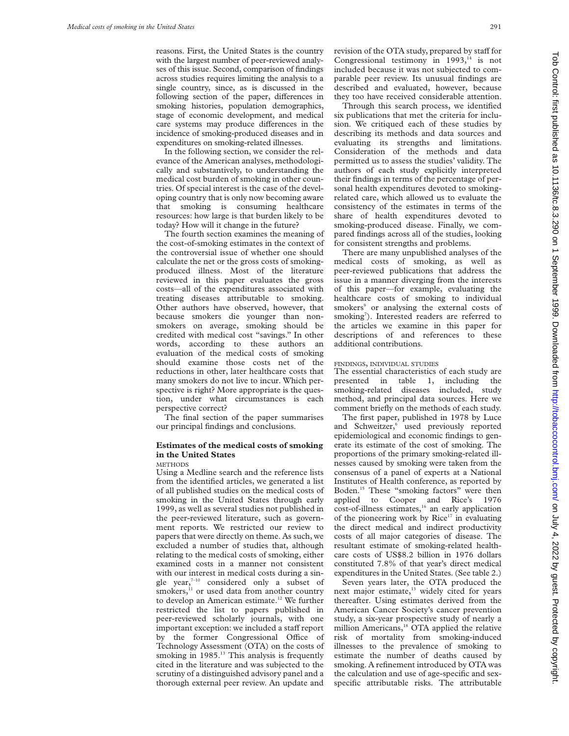reasons. First, the United States is the country with the largest number of peer-reviewed analyses of this issue. Second, comparison of findings across studies requires limiting the analysis to a single country, since, as is discussed in the following section of the paper, differences in smoking histories, population demographics, stage of economic development, and medical care systems may produce differences in the incidence of smoking-produced diseases and in expenditures on smoking-related illnesses.

In the following section, we consider the relevance of the American analyses, methodologically and substantively, to understanding the medical cost burden of smoking in other countries. Of special interest is the case of the developing country that is only now becoming aware that smoking is consuming healthcare resources: how large is that burden likely to be today? How will it change in the future?

The fourth section examines the meaning of the cost-of-smoking estimates in the context of the controversial issue of whether one should calculate the net or the gross costs of smokingproduced illness. Most of the literature reviewed in this paper evaluates the gross costs—all of the expenditures associated with treating diseases attributable to smoking. Other authors have observed, however, that because smokers die younger than nonsmokers on average, smoking should be credited with medical cost "savings." In other words, according to these authors an evaluation of the medical costs of smoking should examine those costs net of the reductions in other, later healthcare costs that many smokers do not live to incur. Which perspective is right? More appropriate is the question, under what circumstances is each perspective correct?

The final section of the paper summarises our principal findings and conclusions.

## **Estimates of the medical costs of smoking in the United States**

METHODS

Using a Medline search and the reference lists from the identified articles, we generated a list of all published studies on the medical costs of smoking in the United States through early 1999, as well as several studies not published in the peer-reviewed literature, such as government reports. We restricted our review to papers that were directly on theme. As such, we excluded a number of studies that, although relating to the medical costs of smoking, either examined costs in a manner not consistent with our interest in medical costs during a single year,<sup>7-10</sup> considered only a subset of smokers, $^{11}$  or used data from another country to develop an American estimate.<sup>12</sup> We further restricted the list to papers published in peer-reviewed scholarly journals, with one important exception: we included a staff report by the former Congressional Office of Technology Assessment (OTA) on the costs of smoking in  $1985$ <sup>13</sup> This analysis is frequently cited in the literature and was subjected to the scrutiny of a distinguished advisory panel and a thorough external peer review. An update and

revision of the OTA study, prepared by staff for Congressional testimony in  $1993$ ,<sup>14</sup> is not included because it was not subjected to comparable peer review. Its unusual findings are described and evaluated, however, because they too have received considerable attention.

Through this search process, we identified six publications that met the criteria for inclusion. We critiqued each of these studies by describing its methods and data sources and evaluating its strengths and limitations. Consideration of the methods and data permitted us to assess the studies' validity. The authors of each study explicitly interpreted their findings in terms of the percentage of personal health expenditures devoted to smokingrelated care, which allowed us to evaluate the consistency of the estimates in terms of the share of health expenditures devoted to smoking-produced disease. Finally, we compared findings across all of the studies, looking for consistent strengths and problems.

There are many unpublished analyses of the medical costs of smoking, as well as peer-reviewed publications that address the issue in a manner diverging from the interests of this paper—for example, evaluating the healthcare costs of smoking to individual smokers<sup>9</sup> or analysing the external costs of smoking<sup>7</sup>). Interested readers are referred to the articles we examine in this paper for descriptions of and references to these additional contributions.

#### FINDINGS, INDIVIDUAL STUDIES

The essential characteristics of each study are presented in table 1, including the smoking-related diseases included, study method, and principal data sources. Here we comment briefly on the methods of each study.

The first paper, published in 1978 by Luce and Schweitzer,<sup>6</sup> used previously reported epidemiological and economic findings to generate its estimate of the cost of smoking. The proportions of the primary smoking-related illnesses caused by smoking were taken from the consensus of a panel of experts at a National Institutes of Health conference, as reported by Boden.<sup>15</sup> These "smoking factors" were then applied to Cooper and Rice's 1976  $cost-of-illness$  estimates,<sup>16</sup> an early application of the pioneering work by  $Rice^{17}$  in evaluating the direct medical and indirect productivity costs of all major categories of disease. The resultant estimate of smoking-related healthcare costs of US\$8.2 billion in 1976 dollars constituted 7.8% of that year's direct medical expenditures in the United States. (See table 2.)

Seven years later, the OTA produced the next major estimate,<sup>13</sup> widely cited for years thereafter. Using estimates derived from the American Cancer Society's cancer prevention study, a six-year prospective study of nearly a million Americans,<sup>18</sup> OTA applied the relative risk of mortality from smoking-induced illnesses to the prevalence of smoking to estimate the number of deaths caused by smoking. A refinement introduced by OTA was the calculation and use of age-specific and sexspecific attributable risks. The attributable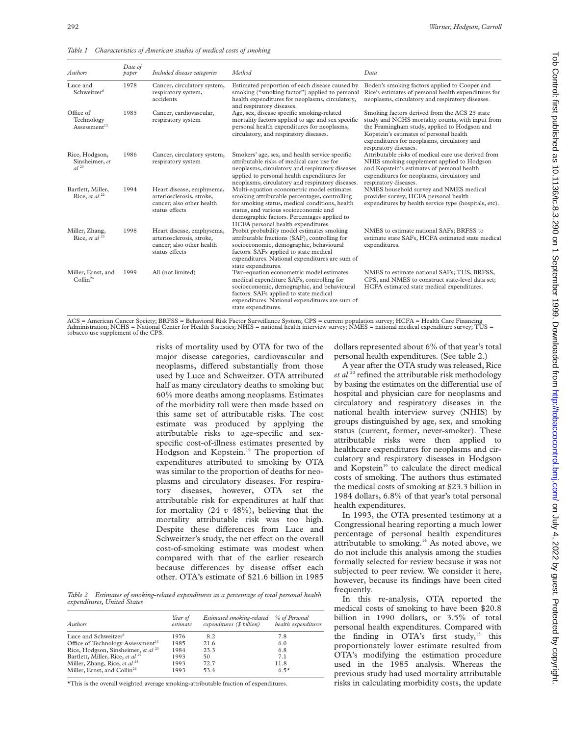*Table 1 Characteristics of American studies of medical costs of smoking*

| Authors                                              | Date of<br>paper | Included disease categories                                                                           | Method                                                                                                                                                                                                                                                                      | Data                                                                                                                                                                                                                                                                 |  |
|------------------------------------------------------|------------------|-------------------------------------------------------------------------------------------------------|-----------------------------------------------------------------------------------------------------------------------------------------------------------------------------------------------------------------------------------------------------------------------------|----------------------------------------------------------------------------------------------------------------------------------------------------------------------------------------------------------------------------------------------------------------------|--|
| Luce and<br>Schweitzer <sup>6</sup>                  | 1978             | Cancer, circulatory system,<br>respiratory system,<br>accidents                                       | Estimated proportion of each disease caused by<br>smoking ("smoking factor") applied to personal<br>health expenditures for neoplasms, circulatory,<br>and respiratory diseases.                                                                                            | Boden's smoking factors applied to Cooper and<br>Rice's estimates of personal health expenditures for<br>neoplasms, circulatory and respiratory diseases.                                                                                                            |  |
| Office of<br>Technology<br>Assessment <sup>13</sup>  | 1985             | Cancer, cardiovascular,<br>respiratory system                                                         | Age, sex, disease specific smoking-related<br>mortality factors applied to age and sex specific<br>personal health expenditures for neoplasms,<br>circulatory, and respiratory diseases.                                                                                    | Smoking factors derived from the ACS 25 state<br>study and NCHS mortality counts, with input from<br>the Framingham study, applied to Hodgson and<br>Kopstein's estimates of personal health<br>expenditures for neoplasms, circulatory and<br>respiratory diseases. |  |
| Rice, Hodgson,<br>Sinsheimer, et<br>al <sup>20</sup> | 1986             | Cancer, circulatory system,<br>respiratory system                                                     | Smokers' age, sex, and health service specific<br>attributable risks of medical care use for<br>neoplasms, circulatory and respiratory diseases<br>applied to personal health expenditures for<br>neoplasms, circulatory and respiratory diseases.                          | Attributable risks of medical care use derived from<br>NHIS smoking supplement applied to Hodgson<br>and Kopstein's estimates of personal health<br>expenditures for neoplasms, circulatory and<br>respiratory diseases.                                             |  |
| Bartlett, Miller,<br>Rice, et al $^{22}$             | 1994             | Heart disease, emphysema,<br>arteriosclerosis, stroke,<br>cancer; also other health<br>status effects | Multi-equation econometric model estimates<br>smoking attributable percentages, controlling<br>for smoking status, medical conditions, health<br>status, and various socioeconomic and<br>demographic factors. Percentages applied to<br>HCFA personal health expenditures. | NMES household survey and NMES medical<br>provider survey; HCFA personal health<br>expenditures by health service type (hospitals, etc).                                                                                                                             |  |
| Miller, Zhang,<br>Rice, et al $^{23}$                | 1998             | Heart disease, emphysema,<br>arteriosclerosis, stroke,<br>cancer; also other health<br>status effects | Probit probability model estimates smoking<br>attributable fractions (SAF), controlling for<br>socioeconomic, demographic, behavioural<br>factors. SAFs applied to state medical<br>expenditures. National expenditures are sum of<br>state expenditures.                   | NMES to estimate national SAFs; BRFSS to<br>estimate state SAFs, HCFA estimated state medical<br>expenditures.                                                                                                                                                       |  |
| Miller, Ernst, and<br>Collin <sup>24</sup>           | 1999             | All (not limited)                                                                                     | Two-equation econometric model estimates<br>medical expenditure SAFs, controlling for<br>socioeconomic, demographic, and behavioural<br>factors. SAFs applied to state medical<br>expenditures. National expenditures are sum of<br>state expenditures.                     | NMES to estimate national SAFs; TUS, BRFSS,<br>CPS, and NMES to construct state-level data set;<br>HCFA estimated state medical expenditures.                                                                                                                        |  |

ACS = American Cancer Society; BRFSS = Behavioral Risk Factor Surveillance System; CPS = current population survey; HCFA = Health Care Financing<br>Administration; NCHS = National Center for Health Statistics; NHIS = national tobacco use supplement of the CPS.

> risks of mortality used by OTA for two of the major disease categories, cardiovascular and neoplasms, differed substantially from those used by Luce and Schweitzer. OTA attributed half as many circulatory deaths to smoking but 60% more deaths among neoplasms. Estimates of the morbidity toll were then made based on this same set of attributable risks. The cost estimate was produced by applying the attributable risks to age-specific and sexspecific cost-of-illness estimates presented by Hodgson and Kopstein.19 The proportion of expenditures attributed to smoking by OTA was similar to the proportion of deaths for neoplasms and circulatory diseases. For respiratory diseases, however, OTA set the attributable risk for expenditures at half that for mortality (24 *v* 48%), believing that the mortality attributable risk was too high. Despite these differences from Luce and Schweitzer's study, the net effect on the overall cost-of-smoking estimate was modest when compared with that of the earlier research because differences by disease offset each other. OTA's estimate of \$21.6 billion in 1985

*Table 2 Estimates of smoking-related expenditures as a percentage of total personal health expenditures, United States*

| Authors                                        | Year of<br>estimate | Estimated smoking-related<br>expenditures (\$ billion) | % of Personal<br>health expenditures |
|------------------------------------------------|---------------------|--------------------------------------------------------|--------------------------------------|
| Luce and Schweitzer <sup>6</sup>               | 1976                | 8.2                                                    | 7.8                                  |
| Office of Technology Assessment <sup>13</sup>  | 1985                | 21.6                                                   | 6.0                                  |
| Rice, Hodgson, Sinsheimer, et al <sup>20</sup> | 1984                | 23.3                                                   | 6.8                                  |
| Bartlett, Miller, Rice, et al <sup>22</sup>    | 1993                | 50                                                     | 7.1                                  |
| Miller, Zhang, Rice, et al <sup>23</sup>       | 1993                | 72.7                                                   | 11.8                                 |
| Miller, Ernst, and Collin <sup>24</sup>        | 1993                | 53.4                                                   | $6.5*$                               |

\*This is the overall weighted average smoking-attributable fraction of expenditures.

dollars represented about 6% of that year's total personal health expenditures. (See table 2.)

A year after the OTA study was released, Rice *et al* <sup>20</sup> refined the attributable risk methodology by basing the estimates on the differential use of hospital and physician care for neoplasms and circulatory and respiratory diseases in the national health interview survey (NHIS) by groups distinguished by age, sex, and smoking status (current, former, never-smoker). These attributable risks were then applied to healthcare expenditures for neoplasms and circulatory and respiratory diseases in Hodgson and Kopstein<sup>19</sup> to calculate the direct medical costs of smoking. The authors thus estimated the medical costs of smoking at \$23.3 billion in 1984 dollars, 6.8% of that year's total personal health expenditures.

In 1993, the OTA presented testimony at a Congressional hearing reporting a much lower percentage of personal health expenditures attributable to smoking.<sup>14</sup> As noted above, we do not include this analysis among the studies formally selected for review because it was not subjected to peer review. We consider it here, however, because its findings have been cited frequently.

In this re-analysis, OTA reported the medical costs of smoking to have been \$20.8 billion in 1990 dollars, or 3.5% of total personal health expenditures. Compared with the finding in OTA's first study,<sup>13</sup> this proportionately lower estimate resulted from OTA's modifying the estimation procedure used in the 1985 analysis. Whereas the previous study had used mortality attributable risks in calculating morbidity costs, the update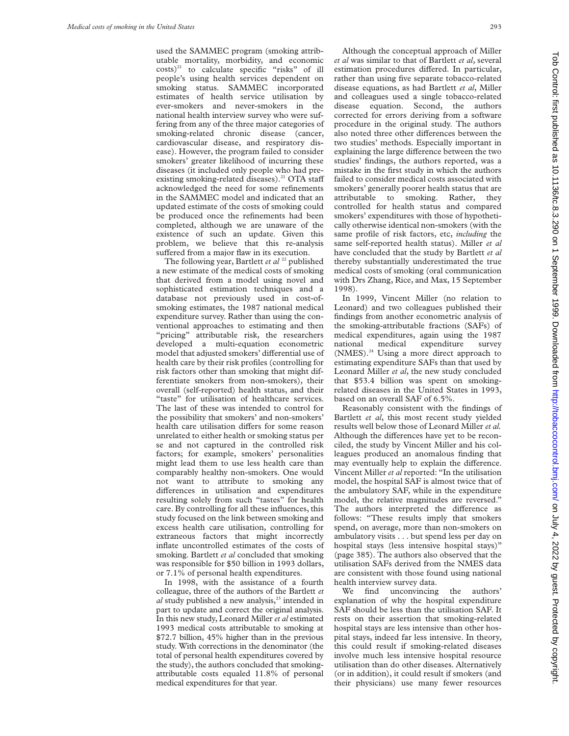used the SAMMEC program (smoking attributable mortality, morbidity, and economic  $costs)^{21}$  to calculate specific "risks" of ill people's using health services dependent on smoking status. SAMMEC incorporated estimates of health service utilisation by ever-smokers and never-smokers in the national health interview survey who were suffering from any of the three major categories of smoking-related chronic disease (cancer, cardiovascular disease, and respiratory disease). However, the program failed to consider smokers' greater likelihood of incurring these diseases (it included only people who had preexisting smoking-related diseases).<sup>21</sup> OTA staff acknowledged the need for some refinements in the SAMMEC model and indicated that an updated estimate of the costs of smoking could be produced once the refinements had been completed, although we are unaware of the existence of such an update. Given this problem, we believe that this re-analysis suffered from a major flaw in its execution.

The following year, Bartlett *et al* <sup>22</sup> published a new estimate of the medical costs of smoking that derived from a model using novel and sophisticated estimation techniques and a database not previously used in cost-ofsmoking estimates, the 1987 national medical expenditure survey. Rather than using the conventional approaches to estimating and then "pricing" attributable risk, the researchers developed a multi-equation econometric model that adjusted smokers' differential use of health care by their risk profiles (controlling for risk factors other than smoking that might differentiate smokers from non-smokers), their overall (self-reported) health status, and their "taste" for utilisation of healthcare services. The last of these was intended to control for the possibility that smokers' and non-smokers' health care utilisation differs for some reason unrelated to either health or smoking status per se and not captured in the controlled risk factors; for example, smokers' personalities might lead them to use less health care than comparably healthy non-smokers. One would not want to attribute to smoking any differences in utilisation and expenditures resulting solely from such "tastes" for health care. By controlling for all these influences, this study focused on the link between smoking and excess health care utilisation, controlling for extraneous factors that might incorrectly inflate uncontrolled estimates of the costs of smoking. Bartlett *et al* concluded that smoking was responsible for \$50 billion in 1993 dollars, or 7.1% of personal health expenditures.

In 1998, with the assistance of a fourth colleague, three of the authors of the Bartlett *et al* study published a new analysis,<sup>23</sup> intended in part to update and correct the original analysis. In this new study, Leonard Miller *et al* estimated 1993 medical costs attributable to smoking at \$72.7 billion, 45% higher than in the previous study. With corrections in the denominator (the total of personal health expenditures covered by the study), the authors concluded that smokingattributable costs equaled 11.8% of personal medical expenditures for that year.

Although the conceptual approach of Miller *et al* was similar to that of Bartlett *et al*, several estimation procedures differed. In particular, rather than using five separate tobacco-related disease equations, as had Bartlett *et al*, Miller and colleagues used a single tobacco-related disease equation. Second, the authors corrected for errors deriving from a software procedure in the original study. The authors also noted three other differences between the two studies' methods. Especially important in explaining the large difference between the two studies' findings, the authors reported, was a mistake in the first study in which the authors failed to consider medical costs associated with smokers' generally poorer health status that are attributable to smoking. Rather, they controlled for health status and compared smokers' expenditures with those of hypothetically otherwise identical non-smokers (with the same profile of risk factors, etc, *including* the same self-reported health status). Miller *et al* have concluded that the study by Bartlett *et al* thereby substantially underestimated the true medical costs of smoking (oral communication with Drs Zhang, Rice, and Max, 15 September 1998).

In 1999, Vincent Miller (no relation to Leonard) and two colleagues published their findings from another econometric analysis of the smoking-attributable fractions (SAFs) of medical expenditures, again using the 1987 national medical expenditure survey (NMES).<sup>24</sup> Using a more direct approach to estimating expenditure SAFs than that used by Leonard Miller *et al*, the new study concluded that \$53.4 billion was spent on smokingrelated diseases in the United States in 1993, based on an overall SAF of 6.5%.

Reasonably consistent with the findings of Bartlett *et al*, this most recent study yielded results well below those of Leonard Miller *et al.* Although the differences have yet to be reconciled, the study by Vincent Miller and his colleagues produced an anomalous finding that may eventually help to explain the difference. Vincent Miller *et al* reported: "In the utilisation model, the hospital SAF is almost twice that of the ambulatory SAF, while in the expenditure model, the relative magnitudes are reversed." The authors interpreted the difference as follows: "These results imply that smokers spend, on average, more than non-smokers on ambulatory visits . . . but spend less per day on hospital stays (less intensive hospital stays)" (page 385). The authors also observed that the utilisation SAFs derived from the NMES data are consistent with those found using national health interview survey data.

We find unconvincing the authors' explanation of why the hospital expenditure SAF should be less than the utilisation SAF. It rests on their assertion that smoking-related hospital stays are less intensive than other hospital stays, indeed far less intensive. In theory, this could result if smoking-related diseases involve much less intensive hospital resource utilisation than do other diseases. Alternatively (or in addition), it could result if smokers (and their physicians) use many fewer resources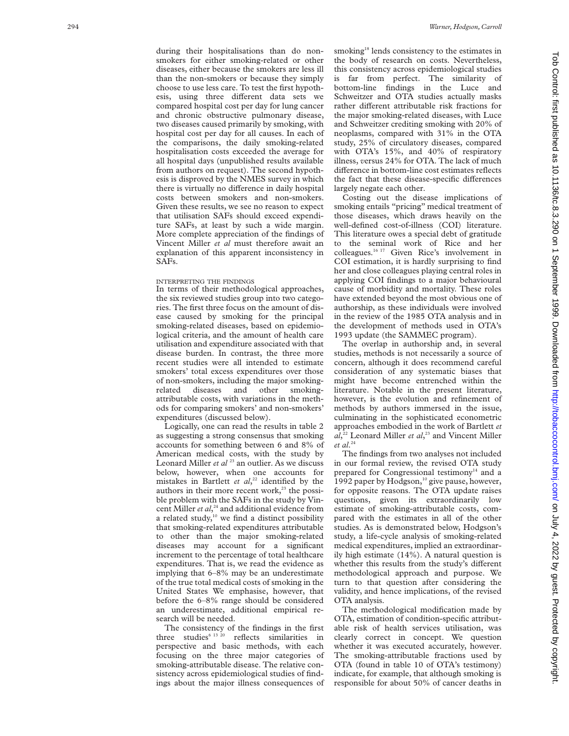during their hospitalisations than do nonsmokers for either smoking-related or other diseases, either because the smokers are less ill than the non-smokers or because they simply choose to use less care. To test the first hypothesis, using three different data sets we compared hospital cost per day for lung cancer and chronic obstructive pulmonary disease, two diseases caused primarily by smoking, with hospital cost per day for all causes. In each of the comparisons, the daily smoking-related hospitalisation costs exceeded the average for all hospital days (unpublished results available from authors on request). The second hypothesis is disproved by the NMES survey in which there is virtually no difference in daily hospital costs between smokers and non-smokers. Given these results, we see no reason to expect that utilisation SAFs should exceed expenditure SAFs, at least by such a wide margin. More complete appreciation of the findings of Vincent Miller *et al* must therefore await an explanation of this apparent inconsistency in SAFs.

#### INTERPRETING THE FINDINGS

In terms of their methodological approaches, the six reviewed studies group into two categories. The first three focus on the amount of disease caused by smoking for the principal smoking-related diseases, based on epidemiological criteria, and the amount of health care utilisation and expenditure associated with that disease burden. In contrast, the three more recent studies were all intended to estimate smokers' total excess expenditures over those of non-smokers, including the major smokingrelated diseases and other smokingattributable costs, with variations in the methods for comparing smokers' and non-smokers' expenditures (discussed below).

Logically, one can read the results in table 2 as suggesting a strong consensus that smoking accounts for something between 6 and 8% of American medical costs, with the study by Leonard Miller *et al* <sup>23</sup> an outlier. As we discuss below, however, when one accounts for mistakes in Bartlett *et al*, <sup>22</sup> identified by the authors in their more recent work, $23$  the possible problem with the SAFs in the study by Vincent Miller *et al*, <sup>24</sup> and additional evidence from a related study, $10$  we find a distinct possibility that smoking-related expenditures attributable to other than the major smoking-related diseases may account for a significant increment to the percentage of total healthcare expenditures. That is, we read the evidence as implying that 6–8% may be an underestimate of the true total medical costs of smoking in the United States We emphasise, however, that before the 6–8% range should be considered an underestimate, additional empirical research will be needed.

The consistency of the findings in the first three studies<sup>6 13 20</sup> reflects similarities in perspective and basic methods, with each focusing on the three major categories of smoking-attributable disease. The relative consistency across epidemiological studies of findings about the major illness consequences of smoking<sup>18</sup> lends consistency to the estimates in the body of research on costs. Nevertheless, this consistency across epidemiological studies is far from perfect. The similarity of bottom-line findings in the Luce and Schweitzer and OTA studies actually masks rather different attributable risk fractions for the major smoking-related diseases, with Luce and Schweitzer crediting smoking with 20% of neoplasms, compared with 31% in the OTA study, 25% of circulatory diseases, compared with OTA's 15%, and 40% of respiratory illness, *v*ersus 24% for OTA. The lack of much difference in bottom-line cost estimates reflects the fact that these disease-specific differences largely negate each other.

Costing out the disease implications of smoking entails "pricing" medical treatment of those diseases, which draws heavily on the well-defined cost-of-illness (COI) literature. This literature owes a special debt of gratitude to the seminal work of Rice and her colleagues.16 17 Given Rice's involvement in COI estimation, it is hardly surprising to find her and close colleagues playing central roles in applying COI findings to a major behavioural cause of morbidity and mortality. These roles have extended beyond the most obvious one of authorship, as these individuals were involved in the review of the 1985 OTA analysis and in the development of methods used in OTA's 1993 update (the SAMMEC program).

The overlap in authorship and, in several studies, methods is not necessarily a source of concern, although it does recommend careful consideration of any systematic biases that might have become entrenched within the literature. Notable in the present literature, however, is the evolution and refinement of methods by authors immersed in the issue, culminating in the sophisticated econometric approaches embodied in the work of Bartlett *et al*, <sup>22</sup> Leonard Miller *et al*, <sup>23</sup> and Vincent Miller *et al* . 24

The findings from two analyses not included in our formal review, the revised OTA study prepared for Congressional testimony<sup>14</sup> and a 1992 paper by Hodgson,<sup>10</sup> give pause, however, for opposite reasons. The OTA update raises questions, given its extraordinarily low estimate of smoking-attributable costs, compared with the estimates in all of the other studies. As is demonstrated below, Hodgson's study, a life-cycle analysis of smoking-related medical expenditures, implied an extraordinarily high estimate (14%). A natural question is whether this results from the study's different methodological approach and purpose. We turn to that question after considering the validity, and hence implications, of the revised OTA analysis.

The methodological modification made by OTA, estimation of condition-specific attributable risk of health services utilisation, was clearly correct in concept. We question whether it was executed accurately, however. The smoking-attributable fractions used by OTA (found in table 10 of OTA's testimony) indicate, for example, that although smoking is responsible for about 50% of cancer deaths in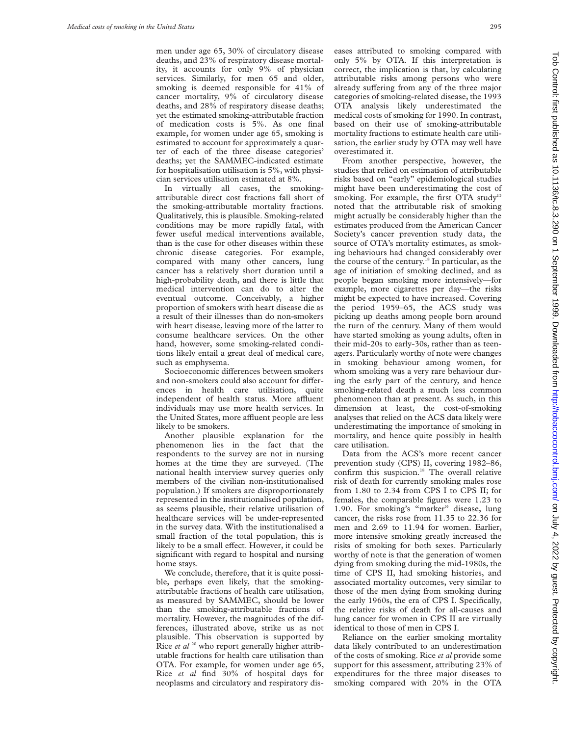men under age 65, 30% of circulatory disease deaths, and 23% of respiratory disease mortality, it accounts for only 9% of physician services. Similarly, for men 65 and older, smoking is deemed responsible for 41% of cancer mortality, 9% of circulatory disease deaths, and 28% of respiratory disease deaths; yet the estimated smoking-attributable fraction of medication costs is 5%. As one final example, for women under age 65, smoking is estimated to account for approximately a quarter of each of the three disease categories' deaths; yet the SAMMEC-indicated estimate for hospitalisation utilisation is 5%, with physician services utilisation estimated at 8%.

In virtually all cases, the smokingattributable direct cost fractions fall short of the smoking-attributable mortality fractions. Qualitatively, this is plausible. Smoking-related conditions may be more rapidly fatal, with fewer useful medical interventions available, than is the case for other diseases within these chronic disease categories. For example, compared with many other cancers, lung cancer has a relatively short duration until a high-probability death, and there is little that medical intervention can do to alter the eventual outcome. Conceivably, a higher proportion of smokers with heart disease die as a result of their illnesses than do non-smokers with heart disease, leaving more of the latter to consume healthcare services. On the other hand, however, some smoking-related conditions likely entail a great deal of medical care, such as emphysema.

Socioeconomic differences between smokers and non-smokers could also account for differences in health care utilisation, quite independent of health status. More affluent individuals may use more health services. In the United States, more affluent people are less likely to be smokers.

Another plausible explanation for the phenomenon lies in the fact that the respondents to the survey are not in nursing homes at the time they are surveyed. (The national health interview survey queries only members of the civilian non-institutionalised population.) If smokers are disproportionately represented in the institutionalised population, as seems plausible, their relative utilisation of healthcare services will be under-represented in the survey data. With the institutionalised a small fraction of the total population, this is likely to be a small effect. However, it could be significant with regard to hospital and nursing home stays.

We conclude, therefore, that it is quite possible, perhaps even likely, that the smokingattributable fractions of health care utilisation, as measured by SAMMEC, should be lower than the smoking-attributable fractions of mortality. However, the magnitudes of the differences, illustrated above, strike us as not plausible. This observation is supported by Rice *et al* <sup>20</sup> who report generally higher attributable fractions for health care utilisation than OTA. For example, for women under age 65, Rice *et al* find 30% of hospital days for neoplasms and circulatory and respiratory diseases attributed to smoking compared with only 5% by OTA. If this interpretation is correct, the implication is that, by calculating attributable risks among persons who were already suffering from any of the three major categories of smoking-related disease, the 1993 OTA analysis likely underestimated the medical costs of smoking for 1990. In contrast, based on their use of smoking-attributable mortality fractions to estimate health care utilisation, the earlier study by OTA may well have overestimated it.

From another perspective, however, the studies that relied on estimation of attributable risks based on "early" epidemiological studies might have been underestimating the cost of smoking. For example, the first OTA study<sup>13</sup> noted that the attributable risk of smoking might actually be considerably higher than the estimates produced from the American Cancer Society's cancer prevention study data, the source of OTA's mortality estimates, as smoking behaviours had changed considerably over the course of the century.<sup>18</sup> In particular, as the age of initiation of smoking declined, and as people began smoking more intensively—for example, more cigarettes per day—the risks might be expected to have increased. Covering the period 1959–65, the ACS study was picking up deaths among people born around the turn of the century. Many of them would have started smoking as young adults, often in their mid-20s to early-30s, rather than as teenagers. Particularly worthy of note were changes in smoking behaviour among women, for whom smoking was a very rare behaviour during the early part of the century, and hence smoking-related death a much less common phenomenon than at present. As such, in this dimension at least, the cost-of-smoking analyses that relied on the ACS data likely were underestimating the importance of smoking in mortality, and hence quite possibly in health care utilisation.

Data from the ACS's more recent cancer prevention study (CPS) II, covering 1982–86, confirm this suspicion.<sup>18</sup> The overall relative risk of death for currently smoking males rose from 1.80 to 2.34 from CPS I to CPS II; for females, the comparable figures were 1.23 to 1.90. For smoking's "marker" disease, lung cancer, the risks rose from 11.35 to 22.36 for men and 2.69 to 11.94 for women. Earlier, more intensive smoking greatly increased the risks of smoking for both sexes. Particularly worthy of note is that the generation of women dying from smoking during the mid-1980s, the time of CPS II, had smoking histories, and associated mortality outcomes, very similar to those of the men dying from smoking during the early 1960s, the era of CPS I. Specifically, the relative risks of death for all-causes and lung cancer for women in CPS II are virtually identical to those of men in CPS I.

Reliance on the earlier smoking mortality data likely contributed to an underestimation of the costs of smoking. Rice *et al* provide some support for this assessment, attributing 23% of expenditures for the three major diseases to smoking compared with 20% in the OTA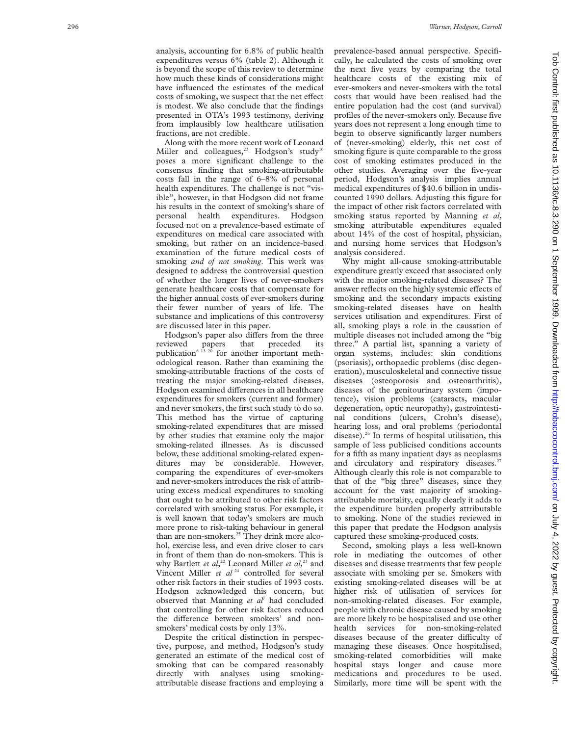analysis, accounting for 6.8% of public health expenditures versus 6% (table 2). Although it is beyond the scope of this review to determine how much these kinds of considerations might have influenced the estimates of the medical costs of smoking, we suspect that the net effect is modest. We also conclude that the findings presented in OTA's 1993 testimony, deriving from implausibly low healthcare utilisation fractions, are not credible.

Along with the more recent work of Leonard Miller and colleagues, $23$  Hodgson's study<sup>10</sup> poses a more significant challenge to the consensus finding that smoking-attributable costs fall in the range of 6–8% of personal health expenditures. The challenge is not "visible", however, in that Hodgson did not frame his results in the context of smoking's share of personal health expenditures. Hodgson focused not on a prevalence-based estimate of expenditures on medical care associated with smoking, but rather on an incidence-based examination of the future medical costs of smoking *and of not smoking*. This work was designed to address the controversial question of whether the longer lives of never-smokers generate healthcare costs that compensate for the higher annual costs of ever-smokers during their fewer number of years of life. The substance and implications of this controversy are discussed later in this paper.

Hodgson's paper also differs from the three reviewed papers that preceded its publication<sup>6 13 20</sup> for another important methodological reason. Rather than examining the smoking-attributable fractions of the costs of treating the major smoking-related diseases, Hodgson examined differences in all healthcare expenditures for smokers (current and former) and never smokers, the first such study to do so. This method has the virtue of capturing smoking-related expenditures that are missed by other studies that examine only the major smoking-related illnesses. As is discussed below, these additional smoking-related expenditures may be considerable. However, comparing the expenditures of ever-smokers and never-smokers introduces the risk of attributing excess medical expenditures to smoking that ought to be attributed to other risk factors correlated with smoking status. For example, it is well known that today's smokers are much more prone to risk-taking behaviour in general than are non-smokers.<sup>25</sup> They drink more alcohol, exercise less, and even drive closer to cars in front of them than do non-smokers. This is why Bartlett *et al*, <sup>22</sup> Leonard Miller *et al*, <sup>23</sup> and Vincent Miller *et al*<sup>24</sup> controlled for several other risk factors in their studies of 1993 costs. Hodgson acknowledged this concern, but observed that Manning *et al*<sup>7</sup> had concluded that controlling for other risk factors reduced the difference between smokers' and nonsmokers' medical costs by only 13%.

Despite the critical distinction in perspective, purpose, and method, Hodgson's study generated an estimate of the medical cost of smoking that can be compared reasonably directly with analyses using smokingattributable disease fractions and employing a

prevalence-based annual perspective. Specifically, he calculated the costs of smoking over the next five years by comparing the total healthcare costs of the existing mix of ever-smokers and never-smokers with the total costs that would have been realised had the entire population had the cost (and survival) profiles of the never-smokers only. Because five years does not represent a long enough time to begin to observe significantly larger numbers of (never-smoking) elderly, this net cost of smoking figure is quite comparable to the gross cost of smoking estimates produced in the other studies. Averaging over the five-year period, Hodgson's analysis implies annual medical expenditures of \$40.6 billion in undiscounted 1990 dollars. Adjusting this figure for the impact of other risk factors correlated with smoking status reported by Manning *et al*, smoking attributable expenditures equaled about 14% of the cost of hospital, physician, and nursing home services that Hodgson's analysis considered.

Why might all-cause smoking-attributable expenditure greatly exceed that associated only with the major smoking-related diseases? The answer reflects on the highly systemic effects of smoking and the secondary impacts existing smoking-related diseases have on health services utilisation and expenditures. First of all, smoking plays a role in the causation of multiple diseases not included among the "big three." A partial list, spanning a variety of organ systems, includes: skin conditions (psoriasis), orthopaedic problems (disc degeneration), musculoskeletal and connective tissue diseases (osteoporosis and osteoarthritis), diseases of the genitourinary system (impotence), vision problems (cataracts, macular degeneration, optic neuropathy), gastrointestinal conditions (ulcers, Crohn's disease), hearing loss, and oral problems (periodontal disease).<sup>26</sup> In terms of hospital utilisation, this sample of less publicised conditions accounts for a fifth as many inpatient days as neoplasms and circulatory and respiratory diseases.<sup>27</sup> Although clearly this role is not comparable to that of the "big three" diseases, since they account for the vast majority of smokingattributable mortality, equally clearly it adds to the expenditure burden properly attributable to smoking. None of the studies reviewed in this paper that predate the Hodgson analysis captured these smoking-produced costs.

Second, smoking plays a less well-known role in mediating the outcomes of other diseases and disease treatments that few people associate with smoking per se. Smokers with existing smoking-related diseases will be at higher risk of utilisation of services for non-smoking-related diseases. For example, people with chronic disease caused by smoking are more likely to be hospitalised and use other health services for non-smoking-related diseases because of the greater difficulty of managing these diseases. Once hospitalised, smoking-related comorbidities will make hospital stays longer and cause more medications and procedures to be used. Similarly, more time will be spent with the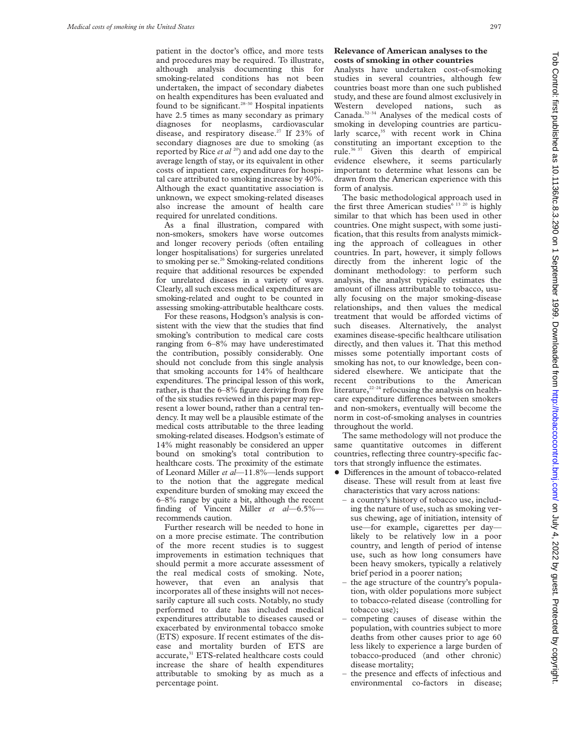patient in the doctor's office, and more tests and procedures may be required. To illustrate, although analysis documenting this for smoking-related conditions has not been undertaken, the impact of secondary diabetes on health expenditures has been evaluated and found to be significant.<sup>28-30</sup> Hospital inpatients have 2.5 times as many secondary as primary diagnoses for neoplasms, cardiovascular disease, and respiratory disease.<sup>27</sup> If 23% of secondary diagnoses are due to smoking (as reported by Rice et al<sup>20</sup>) and add one day to the average length of stay, or its equivalent in other costs of inpatient care, expenditures for hospital care attributed to smoking increase by 40%. Although the exact quantitative association is unknown, we expect smoking-related diseases also increase the amount of health care required for unrelated conditions.

As a final illustration, compared with non-smokers, smokers have worse outcomes and longer recovery periods (often entailing longer hospitalisations) for surgeries unrelated to smoking per se.<sup>26</sup> Smoking-related conditions require that additional resources be expended for unrelated diseases in a variety of ways. Clearly, all such excess medical expenditures are smoking-related and ought to be counted in assessing smoking-attributable healthcare costs.

For these reasons, Hodgson's analysis is consistent with the view that the studies that find smoking's contribution to medical care costs ranging from 6–8% may have underestimated the contribution, possibly considerably. One should not conclude from this single analysis that smoking accounts for 14% of healthcare expenditures. The principal lesson of this work, rather, is that the 6–8% figure deriving from five of the six studies reviewed in this paper may represent a lower bound, rather than a central tendency. It may well be a plausible estimate of the medical costs attributable to the three leading smoking-related diseases. Hodgson's estimate of 14% might reasonably be considered an upper bound on smoking's total contribution to healthcare costs. The proximity of the estimate of Leonard Miller *et al*—11.8%—lends support to the notion that the aggregate medical expenditure burden of smoking may exceed the 6–8% range by quite a bit, although the recent finding of Vincent Miller *et al*—6.5% recommends caution.

Further research will be needed to hone in on a more precise estimate. The contribution of the more recent studies is to suggest improvements in estimation techniques that should permit a more accurate assessment of the real medical costs of smoking. Note, however, that even an analysis that incorporates all of these insights will not necessarily capture all such costs. Notably, no study performed to date has included medical expenditures attributable to diseases caused or exacerbated by environmental tobacco smoke (ETS) exposure. If recent estimates of the disease and mortality burden of ETS are accurate,<sup>31</sup> ETS-related healthcare costs could increase the share of health expenditures attributable to smoking by as much as a percentage point.

#### **Relevance of American analyses to the costs of smoking in other countries**

Analysts have undertaken cost-of-smoking studies in several countries, although few countries boast more than one such published study, and these are found almost exclusively in Western developed nations, such as Canada.32–34 Analyses of the medical costs of smoking in developing countries are particularly scarce,<sup>35</sup> with recent work in China constituting an important exception to the rule.36 37 Given this dearth of empirical evidence elsewhere, it seems particularly important to determine what lessons can be drawn from the American experience with this form of analysis.

The basic methodological approach used in the first three American studies<sup> $61320$ </sup> is highly similar to that which has been used in other countries. One might suspect, with some justification, that this results from analysts mimicking the approach of colleagues in other countries. In part, however, it simply follows directly from the inherent logic of the dominant methodology: to perform such analysis, the analyst typically estimates the amount of illness attributable to tobacco, usually focusing on the major smoking-disease relationships, and then values the medical treatment that would be afforded victims of such diseases. Alternatively, the analyst examines disease-specific healthcare utilisation directly, and then values it. That this method misses some potentially important costs of smoking has not, to our knowledge, been considered elsewhere. We anticipate that the recent contributions to the American literature, $2^{2-24}$  refocusing the analysis on healthcare expenditure differences between smokers and non-smokers, eventually will become the norm in cost-of-smoking analyses in countries throughout the world.

The same methodology will not produce the same quantitative outcomes in different countries, reflecting three country-specific factors that strongly influence the estimates.

- Differences in the amount of tobacco-related disease. These will result from at least five characteristics that vary across nations:
	- a country's history of tobacco use, including the nature of use, such as smoking versus chewing, age of initiation, intensity of use—for example, cigarettes per day likely to be relatively low in a poor country, and length of period of intense use, such as how long consumers have been heavy smokers, typically a relatively brief period in a poorer nation;
	- the age structure of the country's population, with older populations more subject to tobacco-related disease (controlling for tobacco use);
	- competing causes of disease within the population, with countries subject to more deaths from other causes prior to age 60 less likely to experience a large burden of tobacco-produced (and other chronic) disease mortality;
- the presence and effects of infectious and environmental co-factors in disease;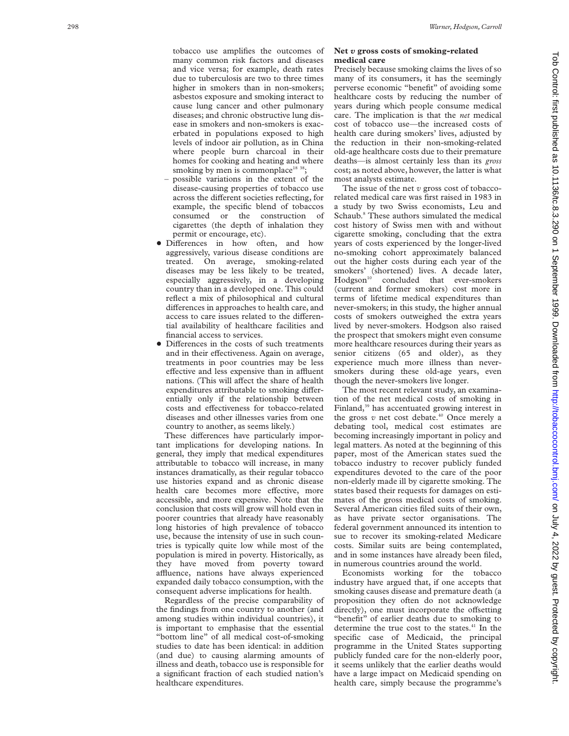tobacco use amplifies the outcomes of many common risk factors and diseases and vice versa; for example, death rates due to tuberculosis are two to three times higher in smokers than in non-smokers; asbestos exposure and smoking interact to cause lung cancer and other pulmonary diseases; and chronic obstructive lung disease in smokers and non-smokers is exacerbated in populations exposed to high levels of indoor air pollution, as in China where people burn charcoal in their homes for cooking and heating and where smoking by men is commonplace<sup>18 38</sup>;

- possible variations in the extent of the disease-causing properties of tobacco use across the different societies reflecting, for example, the specific blend of tobaccos consumed or the construction of cigarettes (the depth of inhalation they permit or encourage, etc).
- Differences in how often, and how aggressively, various disease conditions are treated. On average, smoking-related diseases may be less likely to be treated, especially aggressively, in a developing country than in a developed one. This could reflect a mix of philosophical and cultural differences in approaches to health care, and access to care issues related to the differential availability of healthcare facilities and financial access to services.
- Differences in the costs of such treatments and in their effectiveness. Again on average, treatments in poor countries may be less effective and less expensive than in affluent nations. (This will affect the share of health expenditures attributable to smoking differentially only if the relationship between costs and effectiveness for tobacco-related diseases and other illnesses varies from one country to another, as seems likely.)

These differences have particularly important implications for developing nations. In general, they imply that medical expenditures attributable to tobacco will increase, in many instances dramatically, as their regular tobacco use histories expand and as chronic disease health care becomes more effective, more accessible, and more expensive. Note that the conclusion that costs will grow will hold even in poorer countries that already have reasonably long histories of high prevalence of tobacco use, because the intensity of use in such countries is typically quite low while most of the population is mired in poverty. Historically, as they have moved from poverty toward affluence, nations have always experienced expanded daily tobacco consumption, with the consequent adverse implications for health.

Regardless of the precise comparability of the findings from one country to another (and among studies within individual countries), it is important to emphasise that the essential "bottom line" of all medical cost-of-smoking studies to date has been identical: in addition (and due) to causing alarming amounts of illness and death, tobacco use is responsible for a significant fraction of each studied nation's healthcare expenditures.

### **Net** *v* **gross costs of smoking-related medical care**

Precisely because smoking claims the lives of so many of its consumers, it has the seemingly perverse economic "benefit" of avoiding some healthcare costs by reducing the number of years during which people consume medical care. The implication is that the *net* medical cost of tobacco use—the increased costs of health care during smokers' lives, adjusted by the reduction in their non-smoking-related old-age healthcare costs due to their premature deaths—is almost certainly less than its *gross* cost; as noted above, however, the latter is what most analysts estimate.

The issue of the net *v* gross cost of tobaccorelated medical care was first raised in 1983 in a study by two Swiss economists, Leu and Schaub. <sup>8</sup> These authors simulated the medical cost history of Swiss men with and without cigarette smoking, concluding that the extra years of costs experienced by the longer-lived no-smoking cohort approximately balanced out the higher costs during each year of the smokers' (shortened) lives. A decade later, Hodgson<sup>10</sup> concluded that ever-smokers (current and former smokers) cost more in terms of lifetime medical expenditures than never-smokers; in this study, the higher annual costs of smokers outweighed the extra years lived by never-smokers. Hodgson also raised the prospect that smokers might even consume more healthcare resources during their years as senior citizens (65 and older), as they experience much more illness than neversmokers during these old-age years, even though the never-smokers live longer.

The most recent relevant study, an examination of the net medical costs of smoking in Finland,<sup>39</sup> has accentuated growing interest in the gross  $v$  net cost debate.<sup>40</sup> Once merely a debating tool, medical cost estimates are becoming increasingly important in policy and legal matters. As noted at the beginning of this paper, most of the American states sued the tobacco industry to recover publicly funded expenditures devoted to the care of the poor non-elderly made ill by cigarette smoking. The states based their requests for damages on estimates of the gross medical costs of smoking. Several American cities filed suits of their own, as have private sector organisations. The federal government announced its intention to sue to recover its smoking-related Medicare costs. Similar suits are being contemplated, and in some instances have already been filed, in numerous countries around the world.

Economists working for the tobacco industry have argued that, if one accepts that smoking causes disease and premature death (a proposition they often do not acknowledge directly), one must incorporate the offsetting "benefit" of earlier deaths due to smoking to determine the true cost to the states.<sup>41</sup> In the specific case of Medicaid, the principal programme in the United States supporting publicly funded care for the non-elderly poor, it seems unlikely that the earlier deaths would have a large impact on Medicaid spending on health care, simply because the programme's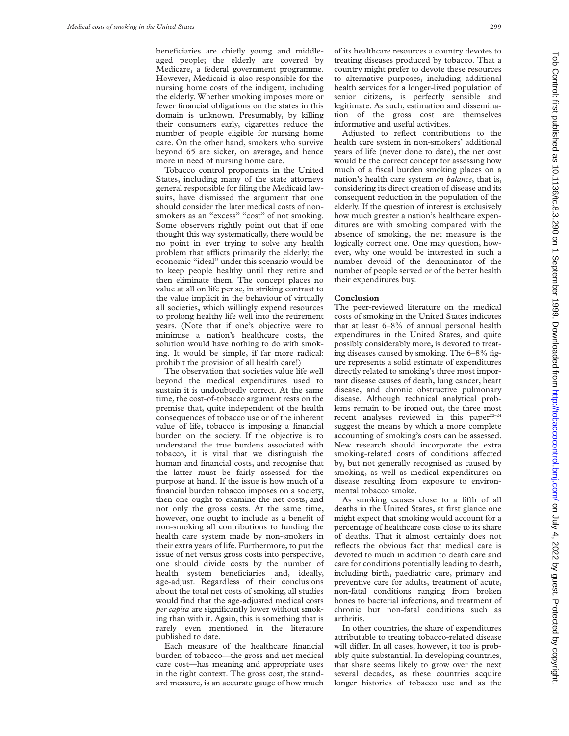beneficiaries are chiefly young and middleaged people; the elderly are covered by Medicare, a federal government programme. However, Medicaid is also responsible for the nursing home costs of the indigent, including the elderly. Whether smoking imposes more or fewer financial obligations on the states in this domain is unknown. Presumably, by killing their consumers early, cigarettes reduce the number of people eligible for nursing home care. On the other hand, smokers who survive beyond 65 are sicker, on average, and hence more in need of nursing home care.

Tobacco control proponents in the United States, including many of the state attorneys general responsible for filing the Medicaid lawsuits, have dismissed the argument that one should consider the later medical costs of nonsmokers as an "excess" "cost" of not smoking. Some observers rightly point out that if one thought this way systematically, there would be no point in ever trying to solve any health problem that afflicts primarily the elderly; the economic "ideal" under this scenario would be to keep people healthy until they retire and then eliminate them. The concept places no value at all on life per se, in striking contrast to the value implicit in the behaviour of virtually all societies, which willingly expend resources to prolong healthy life well into the retirement years. (Note that if one's objective were to minimise a nation's healthcare costs, the solution would have nothing to do with smoking. It would be simple, if far more radical: prohibit the provision of all health care!)

The observation that societies value life well beyond the medical expenditures used to sustain it is undoubtedly correct. At the same time, the cost-of-tobacco argument rests on the premise that, quite independent of the health consequences of tobacco use or of the inherent value of life, tobacco is imposing a financial burden on the society. If the objective is to understand the true burdens associated with tobacco, it is vital that we distinguish the human and financial costs, and recognise that the latter must be fairly assessed for the purpose at hand. If the issue is how much of a financial burden tobacco imposes on a society, then one ought to examine the net costs, and not only the gross costs. At the same time, however, one ought to include as a benefit of non-smoking all contributions to funding the health care system made by non-smokers in their extra years of life. Furthermore, to put the issue of net versus gross costs into perspective, one should divide costs by the number of health system beneficiaries and, ideally, age-adjust. Regardless of their conclusions about the total net costs of smoking, all studies would find that the age-adjusted medical costs *per capita* are significantly lower without smoking than with it. Again, this is something that is rarely even mentioned in the literature published to date.

Each measure of the healthcare financial burden of tobacco—the gross and net medical care cost—has meaning and appropriate uses in the right context. The gross cost, the standard measure, is an accurate gauge of how much of its healthcare resources a country devotes to treating diseases produced by tobacco. That a country might prefer to devote these resources to alternative purposes, including additional health services for a longer-lived population of senior citizens, is perfectly sensible and legitimate. As such, estimation and dissemination of the gross cost are themselves informative and useful activities.

Adjusted to reflect contributions to the health care system in non-smokers' additional years of life (never done to date), the net cost would be the correct concept for assessing how much of a fiscal burden smoking places on a nation's health care system *on balance*, that is, considering its direct creation of disease and its consequent reduction in the population of the elderly. If the question of interest is exclusively how much greater a nation's healthcare expenditures are with smoking compared with the absence of smoking, the net measure is the logically correct one. One may question, however, why one would be interested in such a number devoid of the denominator of the number of people served or of the better health their expenditures buy.

#### **Conclusion**

The peer-reviewed literature on the medical costs of smoking in the United States indicates that at least 6–8% of annual personal health expenditures in the United States, and quite possibly considerably more, is devoted to treating diseases caused by smoking. The 6–8% figure represents a solid estimate of expenditures directly related to smoking's three most important disease causes of death, lung cancer, heart disease, and chronic obstructive pulmonary disease. Although technical analytical problems remain to be ironed out, the three most recent analyses reviewed in this paper<sup>22–24</sup> suggest the means by which a more complete accounting of smoking's costs can be assessed. New research should incorporate the extra smoking-related costs of conditions affected by, but not generally recognised as caused by smoking, as well as medical expenditures on disease resulting from exposure to environmental tobacco smoke.

As smoking causes close to a fifth of all deaths in the United States, at first glance one might expect that smoking would account for a percentage of healthcare costs close to its share of deaths. That it almost certainly does not reflects the obvious fact that medical care is devoted to much in addition to death care and care for conditions potentially leading to death, including birth, paediatric care, primary and preventive care for adults, treatment of acute, non-fatal conditions ranging from broken bones to bacterial infections, and treatment of chronic but non-fatal conditions such as arthritis.

In other countries, the share of expenditures attributable to treating tobacco-related disease will differ. In all cases, however, it too is probably quite substantial. In developing countries, that share seems likely to grow over the next several decades, as these countries acquire longer histories of tobacco use and as the